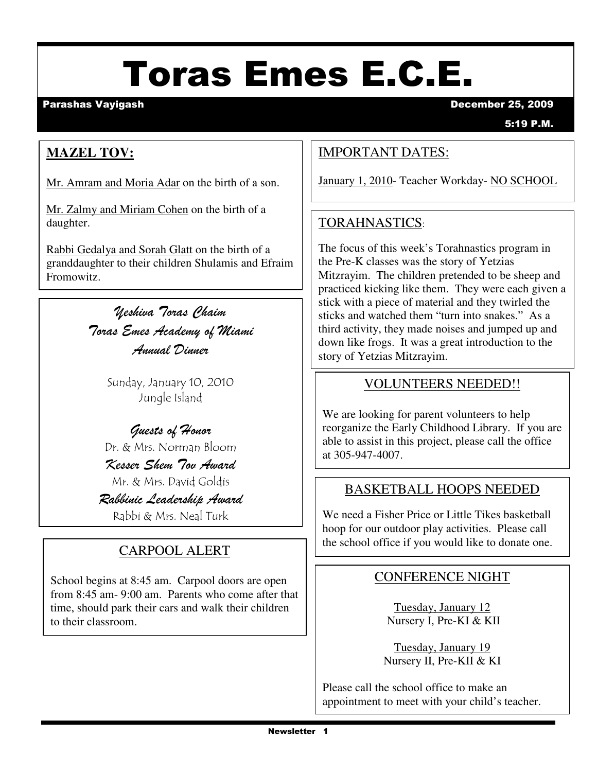# Toras Emes E.C.E.

Parashas Vayigash December 25, 2009

5:19 P.M.

### **MAZEL TOV:**

Mr. Amram and Moria Adar on the birth of a son.

Mr. Zalmy and Miriam Cohen on the birth of a daughter.

Rabbi Gedalya and Sorah Glatt on the birth of a granddaughter to their children Shulamis and Efraim Fromowitz.

> Yeshiva Toras Chaim Toras Emes Academy of Miami Annual Dinner

> > Sunday, January 10, 2010 Jungle Island

#### Guests of Honor Dr. & Mrs. Norman Bloom

Kesser Shem Tov Award Mr. & Mrs. David Goldis

Rabbinic Leadership Award Rabbi & Mrs. Neal Turk

School begins at 8:45 am. Carpool doors are open from 8:45 am- 9:00 am. Parents who come after that time, should park their cars and walk their children to their classroom.

### IMPORTANT DATES:

January 1, 2010- Teacher Workday- NO SCHOOL

### TORAHNASTICS:

The focus of this week's Torahnastics program in the Pre-K classes was the story of Yetzias Mitzrayim. The children pretended to be sheep and practiced kicking like them. They were each given a stick with a piece of material and they twirled the sticks and watched them "turn into snakes." As a third activity, they made noises and jumped up and down like frogs. It was a great introduction to the story of Yetzias Mitzrayim.

#### VOLUNTEERS NEEDED!!

We are looking for parent volunteers to help reorganize the Early Childhood Library. If you are able to assist in this project, please call the office at 305-947-4007.

#### BASKETBALL HOOPS NEEDED

We need a Fisher Price or Little Tikes basketball hoop for our outdoor play activities. Please call CARPOOL ALERT the school office if you would like to donate one.

#### CONFERENCE NIGHT

Tuesday, January 12 Nursery I, Pre-KI & KII

Tuesday, January 19 Nursery II, Pre-KII & KI

Please call the school office to make an appointment to meet with your child's teacher.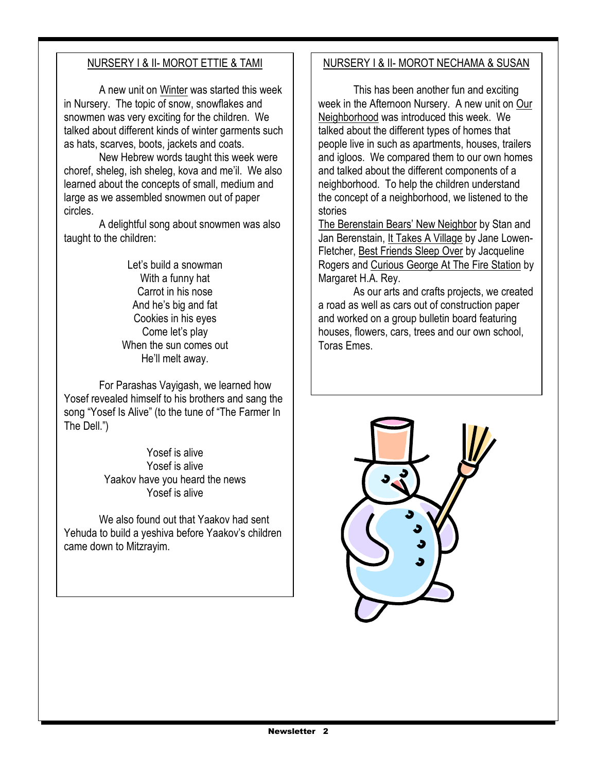#### NURSERY I & II- MOROT ETTIE & TAMI

A new unit on Winter was started this week in Nursery. The topic of snow, snowflakes and snowmen was very exciting for the children. We talked about different kinds of winter garments such as hats, scarves, boots, jackets and coats.

 New Hebrew words taught this week were choref, sheleg, ish sheleg, kova and me'il. We also learned about the concepts of small, medium and large as we assembled snowmen out of paper circles.

 A delightful song about snowmen was also taught to the children:

> Let's build a snowman With a funny hat Carrot in his nose And he's big and fat Cookies in his eyes Come let's play When the sun comes out He'll melt away.

 For Parashas Vayigash, we learned how Yosef revealed himself to his brothers and sang the song "Yosef Is Alive" (to the tune of "The Farmer In The Dell.")

> Yosef is alive Yosef is alive Yaakov have you heard the news Yosef is alive

 We also found out that Yaakov had sent Yehuda to build a yeshiva before Yaakov's children came down to Mitzrayim.

#### NURSERY I & II- MOROT NECHAMA & SUSAN

 This has been another fun and exciting week in the Afternoon Nursery. A new unit on Our Neighborhood was introduced this week. We talked about the different types of homes that people live in such as apartments, houses, trailers and igloos. We compared them to our own homes and talked about the different components of a neighborhood. To help the children understand the concept of a neighborhood, we listened to the stories

The Berenstain Bears' New Neighbor by Stan and Jan Berenstain, It Takes A Village by Jane Lowen-Fletcher, Best Friends Sleep Over by Jacqueline Rogers and Curious George At The Fire Station by Margaret H.A. Rey.

 As our arts and crafts projects, we created a road as well as cars out of construction paper and worked on a group bulletin board featuring houses, flowers, cars, trees and our own school, Toras Emes.

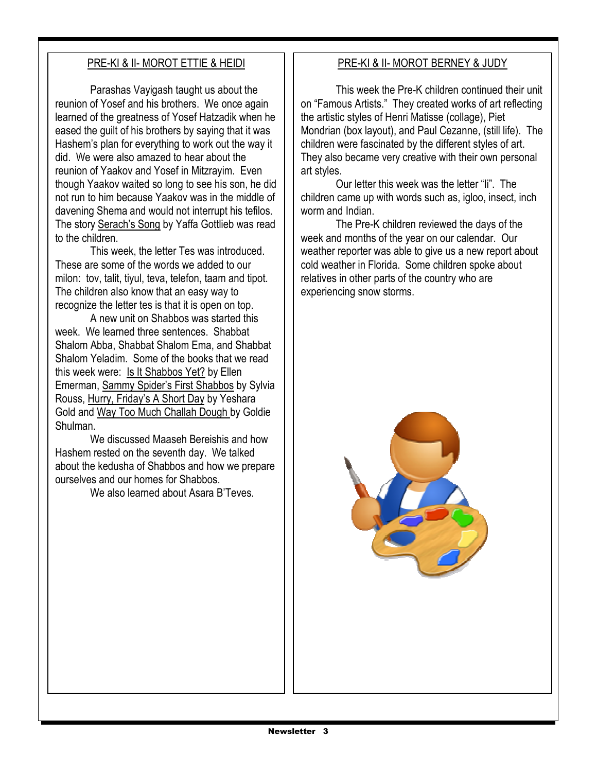#### PRE-KI & II- MOROT ETTIE & HEIDI

Parashas Vayigash taught us about the reunion of Yosef and his brothers. We once again learned of the greatness of Yosef Hatzadik when he eased the guilt of his brothers by saying that it was Hashem's plan for everything to work out the way it did. We were also amazed to hear about the reunion of Yaakov and Yosef in Mitzrayim. Even though Yaakov waited so long to see his son, he did not run to him because Yaakov was in the middle of davening Shema and would not interrupt his tefilos. The story Serach's Song by Yaffa Gottlieb was read to the children.

 This week, the letter Tes was introduced. These are some of the words we added to our milon: tov, talit, tiyul, teva, telefon, taam and tipot. The children also know that an easy way to recognize the letter tes is that it is open on top.

 A new unit on Shabbos was started this week. We learned three sentences. Shabbat Shalom Abba, Shabbat Shalom Ema, and Shabbat Shalom Yeladim. Some of the books that we read this week were: Is It Shabbos Yet? by Ellen Emerman, Sammy Spider's First Shabbos by Sylvia Rouss, Hurry, Friday's A Short Day by Yeshara Gold and Way Too Much Challah Dough by Goldie Shulman.

 We discussed Maaseh Bereishis and how Hashem rested on the seventh day. We talked about the kedusha of Shabbos and how we prepare ourselves and our homes for Shabbos.

We also learned about Asara B'Teves.

#### PRE-KI & II- MOROT BERNEY & JUDY

 This week the Pre-K children continued their unit on "Famous Artists." They created works of art reflecting the artistic styles of Henri Matisse (collage), Piet Mondrian (box layout), and Paul Cezanne, (still life). The children were fascinated by the different styles of art. They also became very creative with their own personal art styles.

 Our letter this week was the letter "Ii". The children came up with words such as, igloo, insect, inch worm and Indian.

 The Pre-K children reviewed the days of the week and months of the year on our calendar. Our weather reporter was able to give us a new report about cold weather in Florida. Some children spoke about relatives in other parts of the country who are experiencing snow storms.

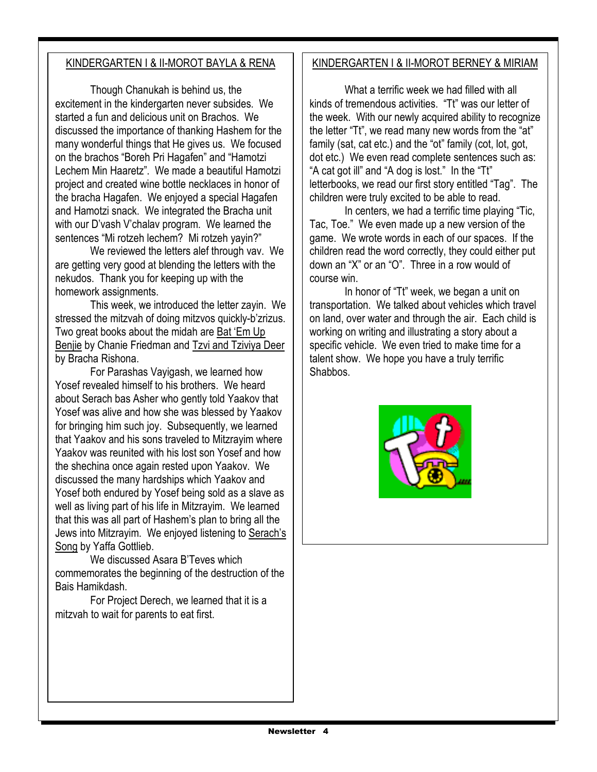#### KINDERGARTEN I & II-MOROT BAYLA & RENA

Though Chanukah is behind us, the excitement in the kindergarten never subsides. We started a fun and delicious unit on Brachos. We discussed the importance of thanking Hashem for the many wonderful things that He gives us. We focused on the brachos "Boreh Pri Hagafen" and "Hamotzi Lechem Min Haaretz". We made a beautiful Hamotzi project and created wine bottle necklaces in honor of the bracha Hagafen. We enjoyed a special Hagafen and Hamotzi snack. We integrated the Bracha unit with our D'vash V'chalav program. We learned the sentences "Mi rotzeh lechem? Mi rotzeh yayin?"

 We reviewed the letters alef through vav. We are getting very good at blending the letters with the nekudos. Thank you for keeping up with the homework assignments.

 This week, we introduced the letter zayin. We stressed the mitzvah of doing mitzvos quickly-b'zrizus. Two great books about the midah are Bat 'Em Up Benjie by Chanie Friedman and Tzvi and Tziviya Deer by Bracha Rishona.

 For Parashas Vayigash, we learned how Yosef revealed himself to his brothers. We heard about Serach bas Asher who gently told Yaakov that Yosef was alive and how she was blessed by Yaakov for bringing him such joy. Subsequently, we learned that Yaakov and his sons traveled to Mitzrayim where Yaakov was reunited with his lost son Yosef and how the shechina once again rested upon Yaakov. We discussed the many hardships which Yaakov and Yosef both endured by Yosef being sold as a slave as well as living part of his life in Mitzrayim. We learned that this was all part of Hashem's plan to bring all the Jews into Mitzrayim. We enjoyed listening to Serach's Song by Yaffa Gottlieb.

 We discussed Asara B'Teves which commemorates the beginning of the destruction of the Bais Hamikdash.

 For Project Derech, we learned that it is a mitzvah to wait for parents to eat first.

#### KINDERGARTEN I & II-MOROT BERNEY & MIRIAM

What a terrific week we had filled with all kinds of tremendous activities. "Tt" was our letter of the week. With our newly acquired ability to recognize the letter "Tt", we read many new words from the "at" family (sat, cat etc.) and the "ot" family (cot, lot, got, dot etc.) We even read complete sentences such as: "A cat got ill" and "A dog is lost." In the "Tt" letterbooks, we read our first story entitled "Tag". The children were truly excited to be able to read.

 In centers, we had a terrific time playing "Tic, Tac, Toe." We even made up a new version of the game. We wrote words in each of our spaces. If the children read the word correctly, they could either put down an "X" or an "O". Three in a row would of course win.

 In honor of "Tt" week, we began a unit on transportation. We talked about vehicles which travel on land, over water and through the air. Each child is working on writing and illustrating a story about a specific vehicle. We even tried to make time for a talent show. We hope you have a truly terrific Shabbos.

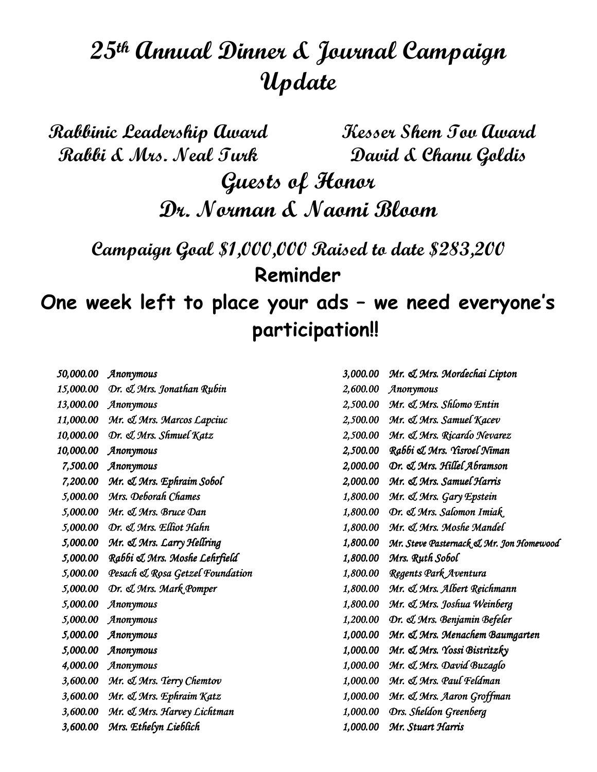## 25th Annual Dinner & Journal Campaign Update

Rabbinic Leadership Award Rabbi & Mrs. Neal Turk Kesser Shem Tov Award David & Chanu Goldis Guests of Honor Dr. Norman & Naomi Bloom Campaign Goal \$1,000,000 Raised to date \$283,200 Reminder One week left to place your ads – we need everyone's participation!!

| 50,000.00 | Anonymous                       | 3,000.00 | Mr. & Mrs. Mordechai Lipton             |
|-----------|---------------------------------|----------|-----------------------------------------|
| 15,000.00 | Dr. & Mrs. Jonathan Rubin       | 2,600.00 | Anonymous                               |
| 13,000.00 | Anonymous                       | 2,500.00 | Mr. & Mrs. Shlomo Entin                 |
| 11,000.00 | Mr. & Mrs. Marcos Lapciuc       | 2,500.00 | Mr. & Mrs. Samuel Kacev                 |
| 10,000.00 | Dr. J. Mrs. Shmuel Katz         | 2,500.00 | Mr. & Mrs. Ricardo Nevarez              |
| 10,000.00 | Anonymous                       | 2,500.00 | Rabbi & Mrs. Yisroel Niman              |
| 7,500.00  | Anonymous                       | 2,000.00 | Dr. & Mrs. Hillel Abramson              |
| 7,200.00  | Mr. & Mrs. Ephraim Sobol        | 2,000.00 | Mr. & Mrs. Samuel Harris                |
| 5,000.00  | Mrs. Deborah Chames             | 1,800.00 | Mr. & Mrs. Gary Epstein                 |
| 5,000.00  | Mr. & Mrs. Bruce Dan            | 1,800.00 | Dr. & Mrs. Salomon Imiak                |
| 5,000.00  | Dr. & Mrs. Elliot Hahn          | 1,800.00 | Mr. & Mrs. Moshe Mandel                 |
| 5,000.00  | Mr. & Mrs. Larry Hellring       | 1,800.00 | Mr. Steve Pasternack & Mr. Jon Homewood |
| 5,000.00  | Rabbi & Mrs. Moshe Lehrfield    | 1,800.00 | Mrs. Ruth Sobol                         |
| 5,000.00  | Pesach & Rosa Getzel Foundation | 1,800.00 | Regents Park Aventura                   |
| 5,000.00  | Dr. & Mrs. Mark Pomper          | 1,800.00 | Mr. J. Mrs. Albert Reichmann            |
| 5,000.00  | Anonymous                       | 1,800.00 | Mr. & Mrs. Joshua Weinberg              |
| 5,000.00  | Anonymous                       | 1,200.00 | Dr. & Mrs. Benjamin Befeler             |
| 5,000.00  | Anonymous                       | 1,000.00 | Mr. J. Mrs. Menachem Baumgarten         |
| 5,000.00  | Anonymous                       | 1,000.00 | Mr. & Mrs. Yossi Bistritzky             |
| 4,000.00  | Anonymous                       | 1,000.00 | Mr. & Mrs. David Buzaglo                |
| 3,600.00  | Mr. & Mrs. Terry Chemtov        | 1,000.00 | Mr. & Mrs. Paul Feldman                 |
| 3,600.00  | Mr. & Mrs. Ephraim Katz         | 1,000.00 | Mr. & Mrs. Aaron Groffman               |
| 3,600.00  | Mr. & Mrs. Harvey Lichtman      | 1,000.00 | Drs. Sheldon Greenberg                  |
| 3,600.00  | Mrs. Ethelyn Lieblich           | 1,000.00 | Mr. Stuart Harris                       |
|           |                                 |          |                                         |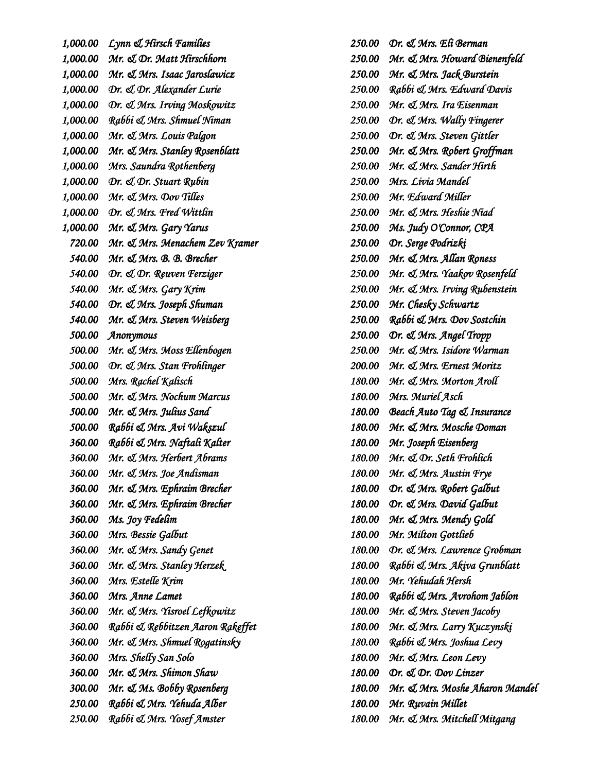1,000.00 Lynn & Hirsch Families  $1,000.00$  Mr.  $\mathcal{A}$  Dr. Matt Hirschhorn 1,000.00 Mr.  $\mathcal{A}$  Mrs. Isaac Jaroslawicz 1,000.00 Dr. & Dr. Alexander Lurie 1,000.00 Dr.  $\mathcal{A}$  Mrs. Irving Moskowitz  $1,000.00$  Rabbi & Mrs. Shmuel Niman  $1,000.00$  Mr.  $\mathcal A$  Mrs. Louis Palgon  $1,000.00$  Mr.  $\mathcal A$  Mrs. Stanley Rosenblatt 1,000.00 Mrs. Saundra Rothenberg  $1,000.00$  Dr.  $\mathcal{D}$ r. Stuart Rubin  $1,000.00$  Mr.  $\mathcal A$  Mrs. Dov Tilles 1,000.00  $Or.$   $\mathcal{A}$  Mrs. Fred Wittlin  $1,000.00$  Mr.  $\mathcal A$  Mrs. Gary Yarus 720.00 Mr. & Mrs. Menachem Zev Kramer 540.00 Mr. & Mrs. B. B. Brecher 540.00 Dr. & Dr. Reuven Ferziger 540.00 Mr.  $\mathcal A$  Mrs. Gary Krim 540.00 Dr. & Mrs. Joseph Shuman 540.00 Mr. & Mrs. Steven Weisberg 500.00 Anonymous 500.00 Mr. & Mrs. Moss Ellenbogen 500.00 Dr. & Mrs. Stan Frohlinger 500.00 Mrs. Rachel Kalisch 500.00 Mr. & Mrs. Nochum Marcus 500.00 Mr. & Mrs. Julius Sand 500.00 Rabbi & Mrs. Avi Wakszul 360.00 Rabbi & Mrs. Naftali Kalter 360.00 Mr. & Mrs. Herbert Abrams  $360.00$  Mr.  $\mathcal A$  Mrs. Joe Andisman 360.00 Mr. & Mrs. Ephraim Brecher 360.00 Mr. & Mrs. Ephraim Brecher 360.00 Ms. Joy Fedelim 360.00 Mrs. Bessie Galbut  $360.00$  Mr.  $\mathcal A$  Mrs. Sandy Genet 360.00 Mr. & Mrs. Stanley Herzek 360.00 Mrs. Estelle Krim 360.00 Mrs. Anne Lamet 360.00 Mr. & Mrs. Yisroel Lefkowitz 360.00 Rabbi & Rebbitzen Aaron Rakeffet 360.00 Mr.  $\mathcal{A}$  Mrs. Shmuel Rogatinsky 360.00 Mrs. Shelly San Solo 360.00 Mr. & Mrs. Shimon Shaw 300.00 Mr. & Ms. Bobby Rosenberg 250.00 Rabbi & Mrs. Yehuda Alber 250.00 Rabbi & Mrs. Yosef Amster

 $250.00$  Dr.  $\ll$  Mrs. Eli Berman 250.00 Mr. & Mrs. Howard Bienenfeld 250.00 Mr. & Mrs. Jack Burstein 250.00 Rabbi & Mrs. Edward Davis  $250.00$  Mr.  $\ll$  Mrs. Ira Eisenman 250.00 Dr. & Mrs. Wally Fingerer 250.00 Dr. & Mrs. Steven Gittler 250.00 Mr. & Mrs. Robert Groffman 250.00 Mr. & Mrs. Sander Hirth 250.00 Mrs. Livia Mandel 250.00 Mr. Edward Miller 250.00 Mr. & Mrs. Heshie Niad 250.00 Ms. Judy O'Connor, CPA 250.00 Dr. Serge Podrizki 250.00 Mr. & Mrs. Allan Roness 250.00 Mr. & Mrs. Yaakov Rosenfeld 250.00 Mr. & Mrs. Irving Rubenstein  $250.00$  Mr. Chesky Schwartz 250.00 Rabbi & Mrs. Dov Sostchin 250.00 Dr. & Mrs. Angel Tropp 250.00 Mr. & Mrs. Isidore Warman 200.00 Mr. & Mrs. Ernest Moritz 180.00 Mr. & Mrs. Morton Aroll 180.00 Mrs. Muriel Asch 180.00 Beach Auto Tag & Insurance 180.00 Mr. & Mrs. Mosche Doman 180.00 Mr. Joseph Eisenberg 180.00 Mr. & Dr. Seth Frohlich 180.00 Mr.  $\mathcal A$  Mrs. Austin Frye 180.00 Dr. & Mrs. Robert Galbut 180.00 Dr. & Mrs. David Galbut 180.00 Mr.  $\mathcal A$  Mrs. Mendy Gold 180.00 Mr. Milton Gottlieb 180.00 Dr. & Mrs. Lawrence Grobman 180.00 Rabbi & Mrs. Akiva Grunblatt 180.00 Mr. Yehudah Hersh 180.00 Rabbi & Mrs. Avrohom Jablon 180.00 Mr. & Mrs. Steven Jacoby 180.00 Mr. & Mrs. Larry Kuczynski 180.00 Rabbi & Mrs. Joshua Levy 180.00 Mr.  $\mathcal{A}$  Mrs. Leon Levy  $180.00$  Dr.  $\triangle$  Dr. Dov Linzer 180.00 Mr. & Mrs. Moshe Aharon Mandel 180.00 Mr. Ruvain Millet 180.00 Mr. & Mrs. Mitchell Mitgang